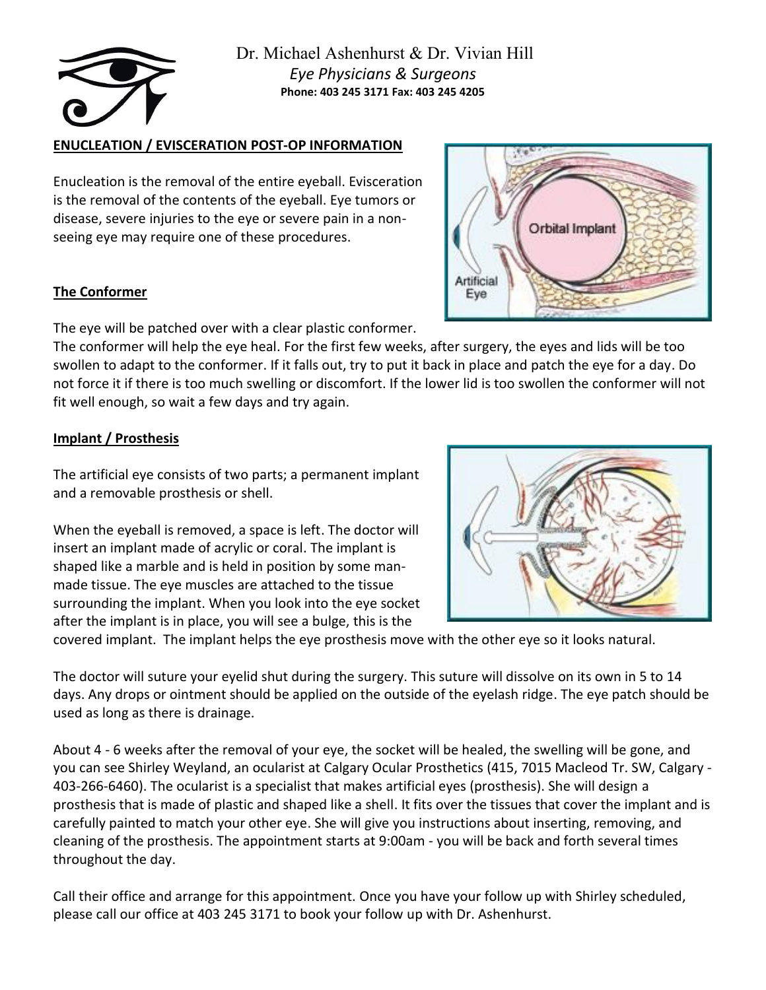

### **ENUCLEATION / EVISCERATION POST-OP INFORMATION**

Enucleation is the removal of the entire eyeball. Evisceration is the removal of the contents of the eyeball. Eye tumors or disease, severe injuries to the eye or severe pain in a nonseeing eye may require one of these procedures.

### **The Conformer**

The eye will be patched over with a clear plastic conformer.

The conformer will help the eye heal. For the first few weeks, after surgery, the eyes and lids will be too swollen to adapt to the conformer. If it falls out, try to put it back in place and patch the eye for a day. Do not force it if there is too much swelling or discomfort. If the lower lid is too swollen the conformer will not fit well enough, so wait a few days and try again.

# **Implant / Prosthesis**

The artificial eye consists of two parts; a permanent implant and a removable prosthesis or shell.

When the eyeball is removed, a space is left. The doctor will insert an implant made of acrylic or coral. The implant is shaped like a marble and is held in position by some manmade tissue. The eye muscles are attached to the tissue surrounding the implant. When you look into the eye socket after the implant is in place, you will see a bulge, this is the



covered implant. The implant helps the eye prosthesis move with the other eye so it looks natural.

The doctor will suture your eyelid shut during the surgery. This suture will dissolve on its own in 5 to 14 days. Any drops or ointment should be applied on the outside of the eyelash ridge. The eye patch should be used as long as there is drainage.

About 4 - 6 weeks after the removal of your eye, the socket will be healed, the swelling will be gone, and you can see Shirley Weyland, an ocularist at Calgary Ocular Prosthetics (415, 7015 Macleod Tr. SW, Calgary - 403-266-6460). The ocularist is a specialist that makes artificial eyes (prosthesis). She will design a prosthesis that is made of plastic and shaped like a shell. It fits over the tissues that cover the implant and is carefully painted to match your other eye. She will give you instructions about inserting, removing, and cleaning of the prosthesis. The appointment starts at 9:00am - you will be back and forth several times throughout the day.

Call their office and arrange for this appointment. Once you have your follow up with Shirley scheduled, please call our office at 403 245 3171 to book your follow up with Dr. Ashenhurst.